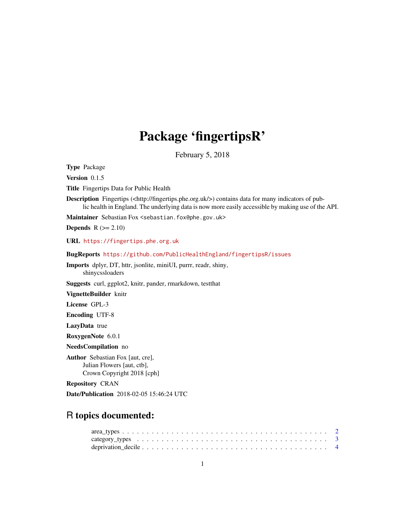## Package 'fingertipsR'

February 5, 2018

Type Package

Version 0.1.5

Title Fingertips Data for Public Health

Description Fingertips (<http://fingertips.phe.org.uk/>) contains data for many indicators of public health in England. The underlying data is now more easily accessible by making use of the API.

Maintainer Sebastian Fox <sebastian.fox@phe.gov.uk>

**Depends**  $R$  ( $>= 2.10$ )

URL <https://fingertips.phe.org.uk>

BugReports <https://github.com/PublicHealthEngland/fingertipsR/issues>

Imports dplyr, DT, httr, jsonlite, miniUI, purrr, readr, shiny, shinycssloaders

Suggests curl, ggplot2, knitr, pander, rmarkdown, testthat

VignetteBuilder knitr

License GPL-3

Encoding UTF-8

LazyData true

RoxygenNote 6.0.1

NeedsCompilation no

Author Sebastian Fox [aut, cre], Julian Flowers [aut, ctb], Crown Copyright 2018 [cph]

Repository CRAN

Date/Publication 2018-02-05 15:46:24 UTC

## R topics documented: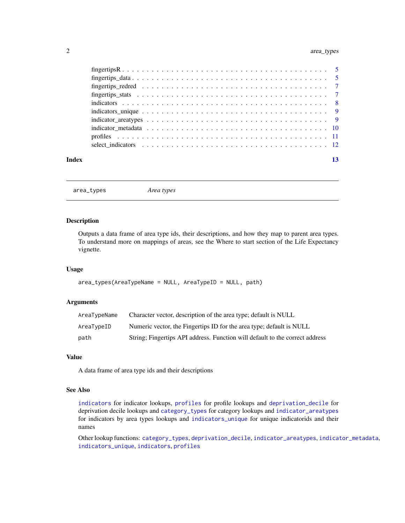#### <span id="page-1-0"></span>2 area\_types

| Index |  |
|-------|--|

<span id="page-1-1"></span>area\_types *Area types*

#### Description

Outputs a data frame of area type ids, their descriptions, and how they map to parent area types. To understand more on mappings of areas, see the Where to start section of the Life Expectancy vignette.

#### Usage

```
area_types(AreaTypeName = NULL, AreaTypeID = NULL, path)
```
#### Arguments

| AreaTypeName | Character vector, description of the area type; default is NULL              |
|--------------|------------------------------------------------------------------------------|
| AreaTypeID   | Numeric vector, the Fingertips ID for the area type; default is NULL         |
| path         | String; Fingertips API address. Function will default to the correct address |

#### Value

A data frame of area type ids and their descriptions

#### See Also

[indicators](#page-7-1) for indicator lookups, [profiles](#page-10-1) for profile lookups and [deprivation\\_decile](#page-3-1) for deprivation decile lookups and [category\\_types](#page-2-1) for category lookups and [indicator\\_areatypes](#page-8-1) for indicators by area types lookups and [indicators\\_unique](#page-8-2) for unique indicatorids and their names

Other lookup functions: [category\\_types](#page-2-1), [deprivation\\_decile](#page-3-1), [indicator\\_areatypes](#page-8-1), [indicator\\_metadata](#page-9-1), [indicators\\_unique](#page-8-2), [indicators](#page-7-1), [profiles](#page-10-1)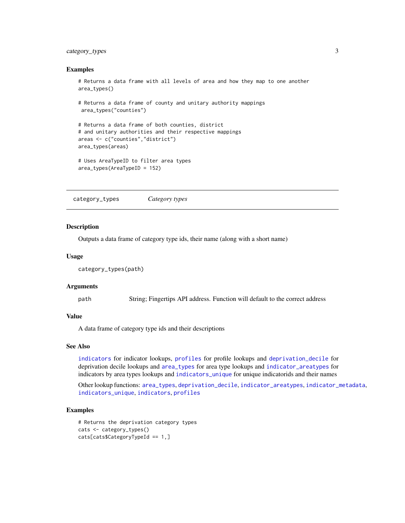#### <span id="page-2-0"></span>category\_types 3

#### Examples

```
# Returns a data frame with all levels of area and how they map to one another
area_types()
```

```
# Returns a data frame of county and unitary authority mappings
area_types("counties")
```

```
# Returns a data frame of both counties, district
# and unitary authorities and their respective mappings
areas <- c("counties","district")
area_types(areas)
```

```
# Uses AreaTypeID to filter area types
area_types(AreaTypeID = 152)
```
<span id="page-2-1"></span>category\_types *Category types*

#### **Description**

Outputs a data frame of category type ids, their name (along with a short name)

#### Usage

```
category_types(path)
```
#### Arguments

path String; Fingertips API address. Function will default to the correct address

#### Value

A data frame of category type ids and their descriptions

#### See Also

[indicators](#page-7-1) for indicator lookups, [profiles](#page-10-1) for profile lookups and [deprivation\\_decile](#page-3-1) for deprivation decile lookups and [area\\_types](#page-1-1) for area type lookups and [indicator\\_areatypes](#page-8-1) for indicators by area types lookups and [indicators\\_unique](#page-8-2) for unique indicatorids and their names

Other lookup functions: [area\\_types](#page-1-1), [deprivation\\_decile](#page-3-1), [indicator\\_areatypes](#page-8-1), [indicator\\_metadata](#page-9-1), [indicators\\_unique](#page-8-2), [indicators](#page-7-1), [profiles](#page-10-1)

```
# Returns the deprivation category types
cats <- category_types()
cats[cats$CategoryTypeId == 1,]
```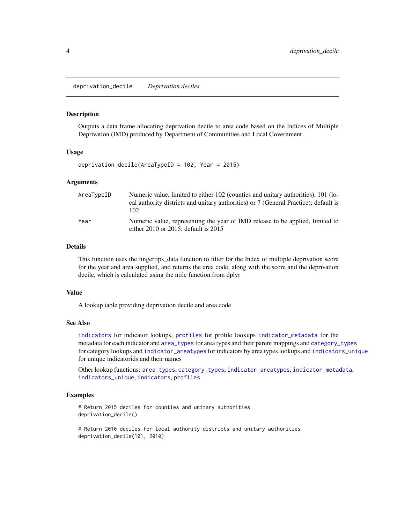<span id="page-3-1"></span><span id="page-3-0"></span>deprivation\_decile *Deprivation deciles*

#### Description

Outputs a data frame allocating deprivation decile to area code based on the Indices of Multiple Deprivation (IMD) produced by Department of Communities and Local Government

#### Usage

deprivation\_decile(AreaTypeID = 102, Year = 2015)

#### Arguments

| AreaTypeID | Numeric value, limited to either 102 (counties and unitary authorities), 101 (lo-<br>cal authority districts and unitary authorities) or 7 (General Practice); default is<br>102 |
|------------|----------------------------------------------------------------------------------------------------------------------------------------------------------------------------------|
| Year       | Numeric value, representing the year of IMD release to be applied, limited to<br>either $2010$ or $2015$ ; default is $2015$                                                     |

#### Details

This function uses the fingertips\_data function to filter for the Index of multiple deprivation score for the year and area supplied, and returns the area code, along with the score and the deprivation decile, which is calculated using the ntile function from dplyr

#### Value

A lookup table providing deprivation decile and area code

#### See Also

[indicators](#page-7-1) for indicator lookups, [profiles](#page-10-1) for profile lookups [indicator\\_metadata](#page-9-1) for the metadata for each indicator and [area\\_types](#page-1-1) for area types and their parent mappings and [category\\_types](#page-2-1) for category lookups and [indicator\\_areatypes](#page-8-1) for indicators by area types lookups and [indicators\\_unique](#page-8-2) for unique indicatorids and their names

Other lookup functions: [area\\_types](#page-1-1), [category\\_types](#page-2-1), [indicator\\_areatypes](#page-8-1), [indicator\\_metadata](#page-9-1), [indicators\\_unique](#page-8-2), [indicators](#page-7-1), [profiles](#page-10-1)

#### Examples

# Return 2015 deciles for counties and unitary authorities deprivation\_decile()

# Return 2010 deciles for local authority districts and unitary authorities deprivation\_decile(101, 2010)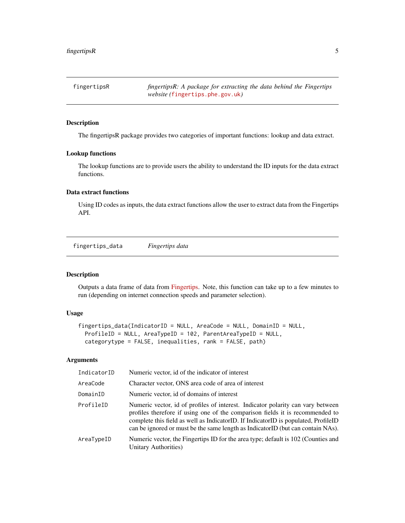<span id="page-4-0"></span>fingertipsR *fingertipsR: A package for extracting the data behind the Fingertips website (*<fingertips.phe.gov.uk>*)*

#### Description

The fingertipsR package provides two categories of important functions: lookup and data extract.

#### Lookup functions

The lookup functions are to provide users the ability to understand the ID inputs for the data extract functions.

#### Data extract functions

Using ID codes as inputs, the data extract functions allow the user to extract data from the Fingertips API.

<span id="page-4-1"></span>fingertips\_data *Fingertips data*

#### Description

Outputs a data frame of data from [Fingertips.](https://fingertips.phe.org.uk/) Note, this function can take up to a few minutes to run (depending on internet connection speeds and parameter selection).

#### Usage

```
fingertips_data(IndicatorID = NULL, AreaCode = NULL, DomainID = NULL,
 ProfileID = NULL, AreaTypeID = 102, ParentAreaTypeID = NULL,
  categorytype = FALSE, inequalities, rank = FALSE, path)
```
### Arguments

| IndicatorID | Numeric vector, id of the indicator of interest                                                                                                                                                                                                                                                                                           |
|-------------|-------------------------------------------------------------------------------------------------------------------------------------------------------------------------------------------------------------------------------------------------------------------------------------------------------------------------------------------|
| AreaCode    | Character vector, ONS area code of area of interest                                                                                                                                                                                                                                                                                       |
| DomainID    | Numeric vector, id of domains of interest                                                                                                                                                                                                                                                                                                 |
| ProfileID   | Numeric vector, id of profiles of interest. Indicator polarity can vary between<br>profiles therefore if using one of the comparison fields it is recommended to<br>complete this field as well as IndicatorID. If IndicatorID is populated, ProfileID<br>can be ignored or must be the same length as IndicatorID (but can contain NAs). |
| AreaTypeID  | Numeric vector, the Fingertips ID for the area type; default is 102 (Counties and<br>Unitary Authorities)                                                                                                                                                                                                                                 |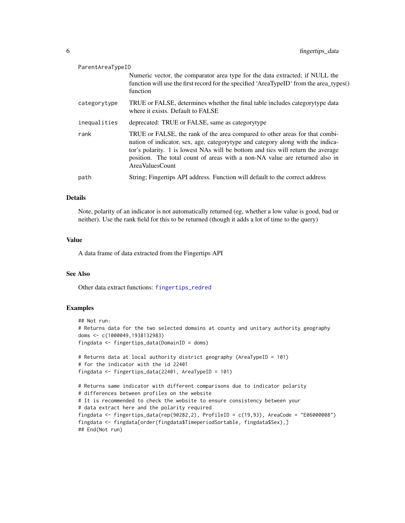<span id="page-5-0"></span>

| ParentAreaTypeID |                                                                                                                                                                                                                                                                                                                                                      |
|------------------|------------------------------------------------------------------------------------------------------------------------------------------------------------------------------------------------------------------------------------------------------------------------------------------------------------------------------------------------------|
|                  | Numeric vector, the comparator area type for the data extracted; if NULL the<br>function will use the first record for the specified 'AreaTypeID' from the area_types()<br>function                                                                                                                                                                  |
| categorytype     | TRUE or FALSE, determines whether the final table includes categorytype data<br>where it exists. Default to FALSE                                                                                                                                                                                                                                    |
| inequalities     | deprecated: TRUE or FALSE, same as categorytype                                                                                                                                                                                                                                                                                                      |
| rank             | TRUE or FALSE, the rank of the area compared to other areas for that combi-<br>nation of indicator, sex, age, category type and category along with the indica-<br>tor's polarity. 1 is lowest NAs will be bottom and ties will return the average<br>position. The total count of areas with a non-NA value are returned also in<br>AreaValuesCount |
| path             | String; Fingertips API address. Function will default to the correct address                                                                                                                                                                                                                                                                         |

#### Details

Note, polarity of an indicator is not automatically returned (eg, whether a low value is good, bad or neither). Use the rank field for this to be returned (though it adds a lot of time to the query)

#### Value

A data frame of data extracted from the Fingertips API

#### See Also

Other data extract functions: [fingertips\\_redred](#page-6-1)

```
## Not run:
# Returns data for the two selected domains at county and unitary authority geography
doms <- c(1000049,1938132983)
fingdata <- fingertips_data(DomainID = doms)
# Returns data at local authority district geography (AreaTypeID = 101)
# for the indicator with the id 22401
fingdata <- fingertips_data(22401, AreaTypeID = 101)
# Returns same indicator with different comparisons due to indicator polarity
# differences between profiles on the website
# It is recommended to check the website to ensure consistency between your
# data extract here and the polarity required
fingdata <- fingertips_data(rep(90282,2), ProfileID = c(19,93), AreaCode = "E06000008")
fingdata <- fingdata[order(fingdata$TimeperiodSortable, fingdata$Sex),]
## End(Not run)
```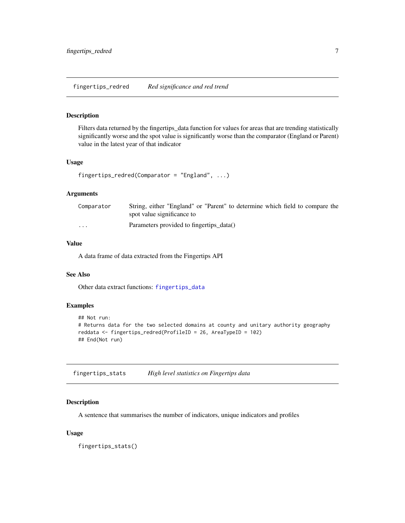<span id="page-6-1"></span><span id="page-6-0"></span>fingertips\_redred *Red significance and red trend*

#### Description

Filters data returned by the fingertips\_data function for values for areas that are trending statistically significantly worse and the spot value is significantly worse than the comparator (England or Parent) value in the latest year of that indicator

#### Usage

```
fingertips_redred(Comparator = "England", ...)
```
#### Arguments

| Comparator              | String, either "England" or "Parent" to determine which field to compare the<br>spot value significance to |
|-------------------------|------------------------------------------------------------------------------------------------------------|
| $\cdot$ $\cdot$ $\cdot$ | Parameters provided to fingertips_data()                                                                   |

### Value

A data frame of data extracted from the Fingertips API

#### See Also

Other data extract functions: [fingertips\\_data](#page-4-1)

#### Examples

```
## Not run:
# Returns data for the two selected domains at county and unitary authority geography
reddata <- fingertips_redred(ProfileID = 26, AreaTypeID = 102)
## End(Not run)
```
fingertips\_stats *High level statistics on Fingertips data*

#### Description

A sentence that summarises the number of indicators, unique indicators and profiles

#### Usage

fingertips\_stats()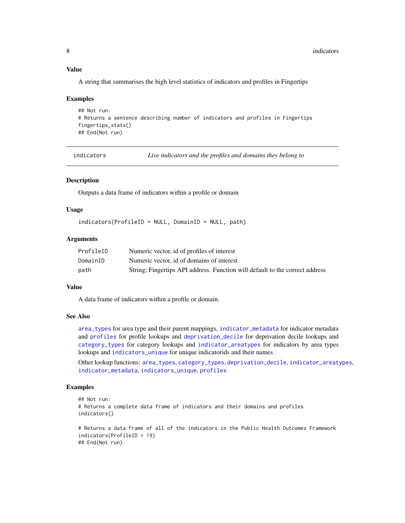#### Value

A string that summarises the high level statistics of indicators and profiles in Fingertips

#### Examples

```
## Not run:
# Returns a sentence describing number of indicators and profiles in Fingertips
fingertips_stats()
## End(Not run)
```
<span id="page-7-1"></span>

indicators *Live indicators and the profiles and domains they belong to*

#### Description

Outputs a data frame of indicators within a profile or domain

#### Usage

indicators(ProfileID = NULL, DomainID = NULL, path)

#### Arguments

| ProfileID | Numeric vector, id of profiles of interest                                   |
|-----------|------------------------------------------------------------------------------|
| DomainID  | Numeric vector, id of domains of interest                                    |
| path      | String; Fingertips API address. Function will default to the correct address |

#### Value

A data frame of indicators within a profile or domain.

#### See Also

[area\\_types](#page-1-1) for area type and their parent mappings, [indicator\\_metadata](#page-9-1) for indicator metadata and [profiles](#page-10-1) for profile lookups and [deprivation\\_decile](#page-3-1) for deprivation decile lookups and [category\\_types](#page-2-1) for category lookups and [indicator\\_areatypes](#page-8-1) for indicators by area types lookups and [indicators\\_unique](#page-8-2) for unique indicatorids and their names

Other lookup functions: [area\\_types](#page-1-1), [category\\_types](#page-2-1), [deprivation\\_decile](#page-3-1), [indicator\\_areatypes](#page-8-1), [indicator\\_metadata](#page-9-1), [indicators\\_unique](#page-8-2), [profiles](#page-10-1)

```
## Not run:
# Returns a complete data frame of indicators and their domains and profiles
indicators()
# Returns a data frame of all of the indicators in the Public Health Outcomes Framework
indicators(ProfileID = 19)
## End(Not run)
```
<span id="page-7-0"></span>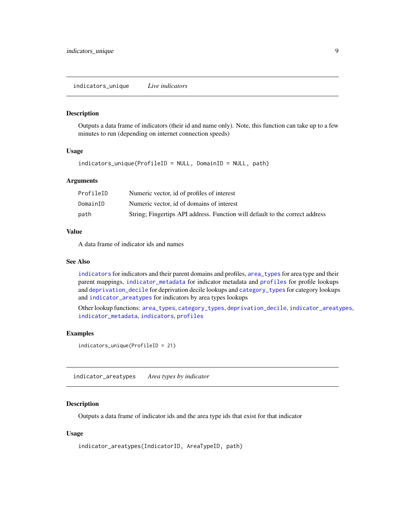#### <span id="page-8-2"></span><span id="page-8-0"></span>Description

Outputs a data frame of indicators (their id and name only). Note, this function can take up to a few minutes to run (depending on internet connection speeds)

#### Usage

indicators\_unique(ProfileID = NULL, DomainID = NULL, path)

#### Arguments

| ProfileID | Numeric vector, id of profiles of interest                                   |
|-----------|------------------------------------------------------------------------------|
| DomainID  | Numeric vector, id of domains of interest                                    |
| path      | String; Fingertips API address. Function will default to the correct address |

#### Value

A data frame of indicator ids and names

#### See Also

[indicators](#page-7-1) for indicators and their parent domains and profiles, [area\\_types](#page-1-1) for area type and their parent mappings, [indicator\\_metadata](#page-9-1) for indicator metadata and [profiles](#page-10-1) for profile lookups and [deprivation\\_decile](#page-3-1) for deprivation decile lookups and [category\\_types](#page-2-1) for category lookups and [indicator\\_areatypes](#page-8-1) for indicators by area types lookups

Other lookup functions: [area\\_types](#page-1-1), [category\\_types](#page-2-1), [deprivation\\_decile](#page-3-1), [indicator\\_areatypes](#page-8-1), [indicator\\_metadata](#page-9-1), [indicators](#page-7-1), [profiles](#page-10-1)

#### Examples

```
indicators_unique(ProfileID = 21)
```
<span id="page-8-1"></span>indicator\_areatypes *Area types by indicator*

#### Description

Outputs a data frame of indicator ids and the area type ids that exist for that indicator

#### Usage

indicator\_areatypes(IndicatorID, AreaTypeID, path)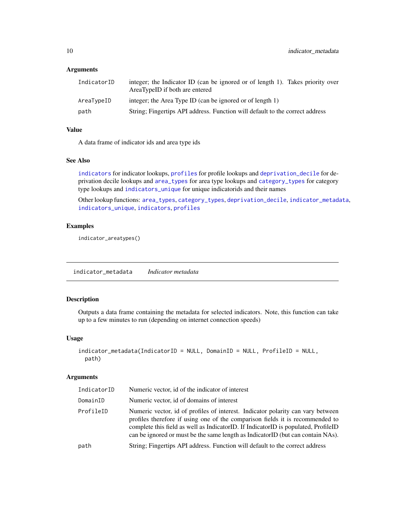#### <span id="page-9-0"></span>Arguments

| IndicatorID | integer; the Indicator ID (can be ignored or of length 1). Takes priority over<br>AreaTypeID if both are entered |
|-------------|------------------------------------------------------------------------------------------------------------------|
| AreaTypeID  | integer; the Area Type ID (can be ignored or of length 1)                                                        |
| path        | String; Fingertips API address. Function will default to the correct address                                     |

#### Value

A data frame of indicator ids and area type ids

#### See Also

[indicators](#page-7-1) for indicator lookups, [profiles](#page-10-1) for profile lookups and [deprivation\\_decile](#page-3-1) for deprivation decile lookups and [area\\_types](#page-1-1) for area type lookups and [category\\_types](#page-2-1) for category type lookups and [indicators\\_unique](#page-8-2) for unique indicatorids and their names

Other lookup functions: [area\\_types](#page-1-1), [category\\_types](#page-2-1), [deprivation\\_decile](#page-3-1), [indicator\\_metadata](#page-9-1), [indicators\\_unique](#page-8-2), [indicators](#page-7-1), [profiles](#page-10-1)

#### Examples

indicator\_areatypes()

<span id="page-9-1"></span>indicator\_metadata *Indicator metadata*

#### Description

Outputs a data frame containing the metadata for selected indicators. Note, this function can take up to a few minutes to run (depending on internet connection speeds)

#### Usage

```
indicator_metadata(IndicatorID = NULL, DomainID = NULL, ProfileID = NULL,
 path)
```
#### Arguments

| IndicatorID | Numeric vector, id of the indicator of interest                                                                                                                                                                                                                                                                                           |
|-------------|-------------------------------------------------------------------------------------------------------------------------------------------------------------------------------------------------------------------------------------------------------------------------------------------------------------------------------------------|
| DomainID    | Numeric vector, id of domains of interest                                                                                                                                                                                                                                                                                                 |
| ProfileID   | Numeric vector, id of profiles of interest. Indicator polarity can vary between<br>profiles therefore if using one of the comparison fields it is recommended to<br>complete this field as well as IndicatorID. If IndicatorID is populated, ProfileID<br>can be ignored or must be the same length as IndicatorID (but can contain NAs). |
| path        | String; Fingertips API address. Function will default to the correct address                                                                                                                                                                                                                                                              |
|             |                                                                                                                                                                                                                                                                                                                                           |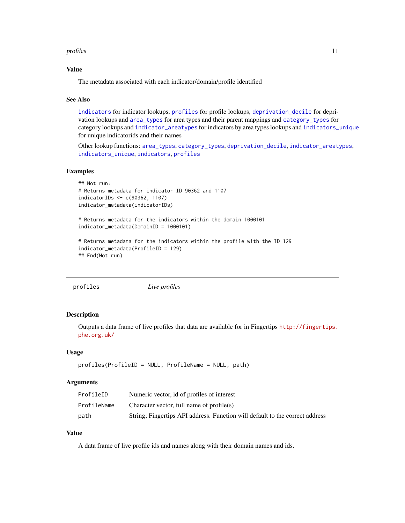#### <span id="page-10-0"></span>profiles that the contract of the contract of the contract of the contract of the contract of the contract of the contract of the contract of the contract of the contract of the contract of the contract of the contract of

#### Value

The metadata associated with each indicator/domain/profile identified

#### See Also

[indicators](#page-7-1) for indicator lookups, [profiles](#page-10-1) for profile lookups, [deprivation\\_decile](#page-3-1) for deprivation lookups and [area\\_types](#page-1-1) for area types and their parent mappings and [category\\_types](#page-2-1) for category lookups and [indicator\\_areatypes](#page-8-1) for indicators by area types lookups and [indicators\\_unique](#page-8-2) for unique indicatorids and their names

Other lookup functions: [area\\_types](#page-1-1), [category\\_types](#page-2-1), [deprivation\\_decile](#page-3-1), [indicator\\_areatypes](#page-8-1), [indicators\\_unique](#page-8-2), [indicators](#page-7-1), [profiles](#page-10-1)

#### Examples

```
## Not run:
# Returns metadata for indicator ID 90362 and 1107
indicatorIDs <- c(90362, 1107)
indicator_metadata(indicatorIDs)
# Returns metadata for the indicators within the domain 1000101
indicator_metadata(DomainID = 1000101)
# Returns metadata for the indicators within the profile with the ID 129
indicator_metadata(ProfileID = 129)
## End(Not run)
```

```
profiles Live profiles
```
#### Description

Outputs a data frame of live profiles that data are available for in Fingertips [http://fingertips.](http://fingertips.phe.org.uk/) [phe.org.uk/](http://fingertips.phe.org.uk/)

#### Usage

```
profiles(ProfileID = NULL, ProfileName = NULL, path)
```
#### Arguments

| ProfileID   | Numeric vector, id of profiles of interest                                   |
|-------------|------------------------------------------------------------------------------|
| ProfileName | Character vector, full name of $profile(s)$                                  |
| path        | String; Fingertips API address. Function will default to the correct address |

#### Value

A data frame of live profile ids and names along with their domain names and ids.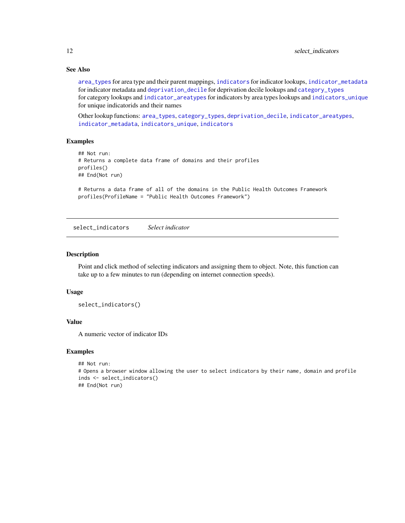#### See Also

[area\\_types](#page-1-1) for area type and their parent mappings, [indicators](#page-7-1) for indicator lookups, [indicator\\_metadata](#page-9-1) for indicator metadata and [deprivation\\_decile](#page-3-1) for deprivation decile lookups and [category\\_types](#page-2-1) for category lookups and [indicator\\_areatypes](#page-8-1) for indicators by area types lookups and [indicators\\_unique](#page-8-2) for unique indicatorids and their names

Other lookup functions: [area\\_types](#page-1-1), [category\\_types](#page-2-1), [deprivation\\_decile](#page-3-1), [indicator\\_areatypes](#page-8-1), [indicator\\_metadata](#page-9-1), [indicators\\_unique](#page-8-2), [indicators](#page-7-1)

#### Examples

```
## Not run:
# Returns a complete data frame of domains and their profiles
profiles()
## End(Not run)
# Returns a data frame of all of the domains in the Public Health Outcomes Framework
profiles(ProfileName = "Public Health Outcomes Framework")
```
select\_indicators *Select indicator*

#### Description

Point and click method of selecting indicators and assigning them to object. Note, this function can take up to a few minutes to run (depending on internet connection speeds).

#### Usage

```
select_indicators()
```
#### Value

A numeric vector of indicator IDs

```
## Not run:
# Opens a browser window allowing the user to select indicators by their name, domain and profile
inds <- select_indicators()
## End(Not run)
```
<span id="page-11-0"></span>